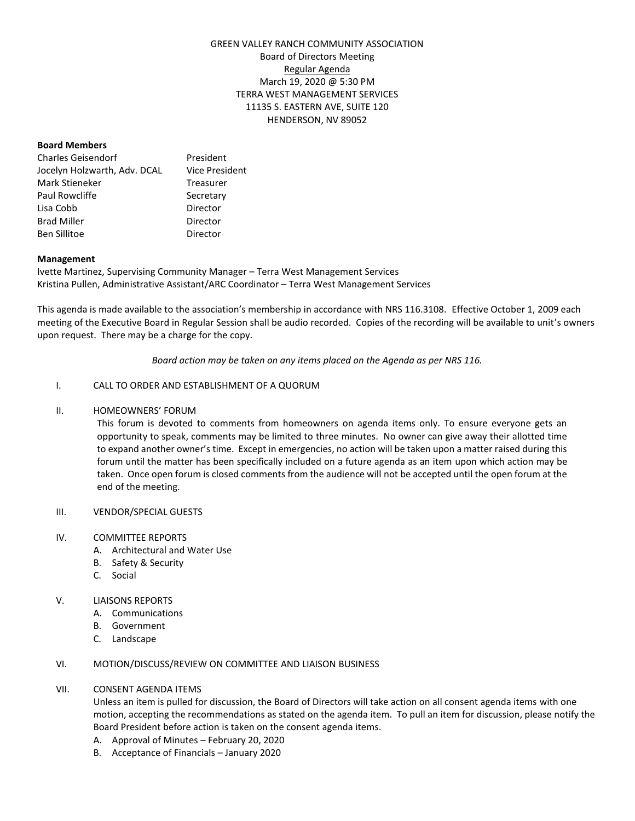# GREEN VALLEY RANCH COMMUNITY ASSOCIATION Board of Directors Meeting Regular Agenda March 19, 2020 @ 5:30 PM TERRA WEST MANAGEMENT SERVICES 11135 S. EASTERN AVE, SUITE 120 HENDERSON, NV 89052

## **Board Members**

| Charles Geisendorf           | President             |
|------------------------------|-----------------------|
| Jocelyn Holzwarth, Adv. DCAL | <b>Vice President</b> |
| Mark Stieneker               | Treasurer             |
| Paul Rowcliffe               | Secretary             |
| Lisa Cobb                    | Director              |
| <b>Brad Miller</b>           | Director              |
| Ben Sillitoe                 | Director              |

## **Management**

Ivette Martinez, Supervising Community Manager – Terra West Management Services Kristina Pullen, Administrative Assistant/ARC Coordinator – Terra West Management Services

This agenda is made available to the association's membership in accordance with NRS 116.3108. Effective October 1, 2009 each meeting of the Executive Board in Regular Session shall be audio recorded. Copies of the recording will be available to unit's owners upon request. There may be a charge for the copy.

*Board action may be taken on any items placed on the Agenda as per NRS 116.*

## I. CALL TO ORDER AND ESTABLISHMENT OF A QUORUM

## II. HOMEOWNERS' FORUM

This forum is devoted to comments from homeowners on agenda items only. To ensure everyone gets an opportunity to speak, comments may be limited to three minutes. No owner can give away their allotted time to expand another owner's time. Except in emergencies, no action will be taken upon a matter raised during this forum until the matter has been specifically included on a future agenda as an item upon which action may be taken. Once open forum is closed comments from the audience will not be accepted until the open forum at the end of the meeting.

## III. VENDOR/SPECIAL GUESTS

## IV. COMMITTEE REPORTS

- A. Architectural and Water Use
- B. Safety & Security
- C. Social

# V. **LIAISONS REPORTS**

- A. Communications
- B. Government
- C. Landscape

## VI. MOTION/DISCUSS/REVIEW ON COMMITTEE AND LIAISON BUSINESS

## VII. CONSENT AGENDA ITEMS

Unless an item is pulled for discussion, the Board of Directors will take action on all consent agenda items with one motion, accepting the recommendations as stated on the agenda item. To pull an item for discussion, please notify the Board President before action is taken on the consent agenda items.

- A. Approval of Minutes February 20, 2020
- B. Acceptance of Financials January 2020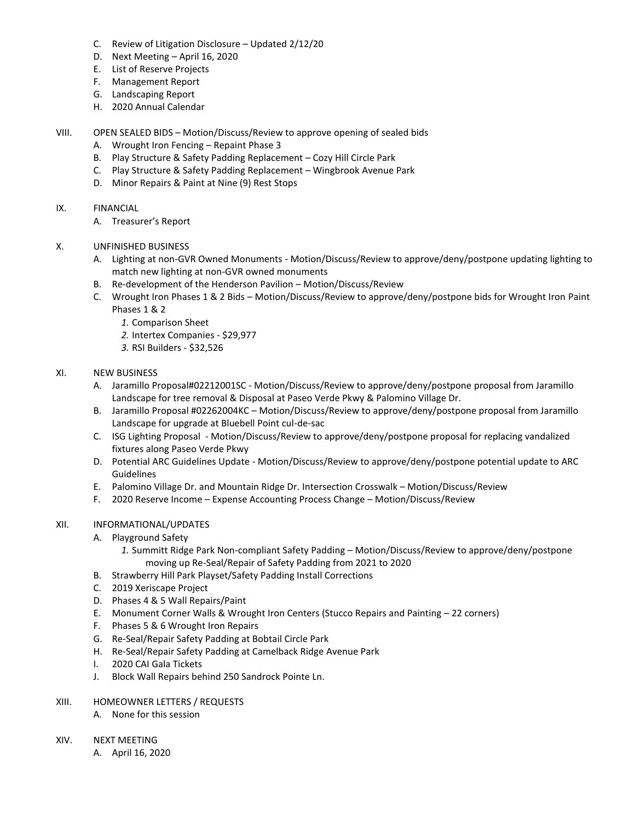- C. Review of Litigation Disclosure Updated 2/12/20
- D. Next Meeting April 16, 2020
- E. List of Reserve Projects
- F. Management Report
- G. Landscaping Report
- H. 2020 Annual Calendar
- VIII. OPEN SEALED BIDS Motion/Discuss/Review to approve opening of sealed bids
	- A. Wrought Iron Fencing Repaint Phase 3
	- B. Play Structure & Safety Padding Replacement Cozy Hill Circle Park
	- C. Play Structure & Safety Padding Replacement Wingbrook Avenue Park
	- D. Minor Repairs & Paint at Nine (9) Rest Stops
- IX. FINANCIAL
	- A. Treasurer's Report
- X. UNFINISHED BUSINESS
	- A. Lighting at non-GVR Owned Monuments Motion/Discuss/Review to approve/deny/postpone updating lighting to match new lighting at non-GVR owned monuments
	- B. Re-development of the Henderson Pavilion Motion/Discuss/Review
	- C. Wrought Iron Phases 1 & 2 Bids Motion/Discuss/Review to approve/deny/postpone bids for Wrought Iron Paint Phases 1 & 2
		- *1.* Comparison Sheet
		- *2.* Intertex Companies \$29,977
		- *3.* RSI Builders \$32,526
- XI. NEW BUSINESS
	- A. Jaramillo Proposal#02212001SC Motion/Discuss/Review to approve/deny/postpone proposal from Jaramillo Landscape for tree removal & Disposal at Paseo Verde Pkwy & Palomino Village Dr.
	- B. Jaramillo Proposal #02262004KC Motion/Discuss/Review to approve/deny/postpone proposal from Jaramillo Landscape for upgrade at Bluebell Point cul-de-sac
	- C. ISG Lighting Proposal Motion/Discuss/Review to approve/deny/postpone proposal for replacing vandalized fixtures along Paseo Verde Pkwy
	- D. Potential ARC Guidelines Update Motion/Discuss/Review to approve/deny/postpone potential update to ARC Guidelines
	- E. Palomino Village Dr. and Mountain Ridge Dr. Intersection Crosswalk Motion/Discuss/Review
	- F. 2020 Reserve Income Expense Accounting Process Change Motion/Discuss/Review

## XII. INFORMATIONAL/UPDATES

- A. Playground Safety
	- *1.* Summitt Ridge Park Non-compliant Safety Padding Motion/Discuss/Review to approve/deny/postpone moving up Re-Seal/Repair of Safety Padding from 2021 to 2020
- B. Strawberry Hill Park Playset/Safety Padding Install Corrections
- C. 2019 Xeriscape Project
- D. Phases 4 & 5 Wall Repairs/Paint
- E. Monument Corner Walls & Wrought Iron Centers (Stucco Repairs and Painting 22 corners)
- F. Phases 5 & 6 Wrought Iron Repairs
- G. Re-Seal/Repair Safety Padding at Bobtail Circle Park
- H. Re-Seal/Repair Safety Padding at Camelback Ridge Avenue Park
- I. 2020 CAI Gala Tickets
- J. Block Wall Repairs behind 250 Sandrock Pointe Ln.
- XIII. HOMEOWNER LETTERS / REQUESTS
	- A. None for this session
- XIV. NEXT MEETING
	- A. April 16, 2020